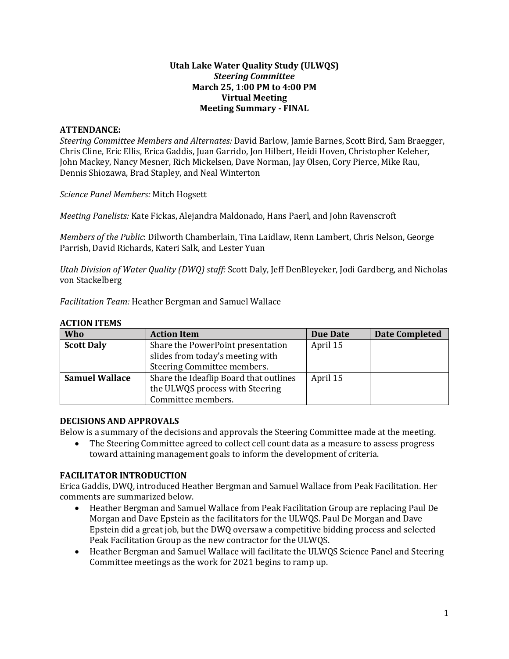## **Utah Lake Water Quality Study (ULWQS)** *Steering Committee* **March 25, 1:00 PM to 4:00 PM Virtual Meeting Meeting Summary - FINAL**

## **ATTENDANCE:**

*Steering Committee Members and Alternates:* David Barlow, Jamie Barnes, Scott Bird, Sam Braegger, Chris Cline, Eric Ellis, Erica Gaddis, Juan Garrido, Jon Hilbert, Heidi Hoven, Christopher Keleher, John Mackey, Nancy Mesner, Rich Mickelsen, Dave Norman, Jay Olsen, Cory Pierce, Mike Rau, Dennis Shiozawa, Brad Stapley, and Neal Winterton

*Science Panel Members:* Mitch Hogsett

*Meeting Panelists:* Kate Fickas, Alejandra Maldonado, Hans Paerl, and John Ravenscroft

*Members of the Public*: Dilworth Chamberlain, Tina Laidlaw, Renn Lambert, Chris Nelson, George Parrish, David Richards, Kateri Salk, and Lester Yuan

*Utah Division of Water Quality (DWQ) staff:* Scott Daly, Jeff DenBleyeker, Jodi Gardberg, and Nicholas von Stackelberg

*Facilitation Team:* Heather Bergman and Samuel Wallace

| <b>Who</b>            | <b>Action Item</b>                     | Due Date | <b>Date Completed</b> |
|-----------------------|----------------------------------------|----------|-----------------------|
| <b>Scott Daly</b>     | Share the PowerPoint presentation      | April 15 |                       |
|                       | slides from today's meeting with       |          |                       |
|                       | Steering Committee members.            |          |                       |
| <b>Samuel Wallace</b> | Share the Ideaflip Board that outlines | April 15 |                       |
|                       | the ULWQS process with Steering        |          |                       |
|                       | Committee members.                     |          |                       |

#### **ACTION ITEMS**

## **DECISIONS AND APPROVALS**

Below is a summary of the decisions and approvals the Steering Committee made at the meeting.

• The Steering Committee agreed to collect cell count data as a measure to assess progress toward attaining management goals to inform the development of criteria.

## **FACILITATOR INTRODUCTION**

Erica Gaddis, DWQ, introduced Heather Bergman and Samuel Wallace from Peak Facilitation. Her comments are summarized below.

- Heather Bergman and Samuel Wallace from Peak Facilitation Group are replacing Paul De Morgan and Dave Epstein as the facilitators for the ULWQS. Paul De Morgan and Dave Epstein did a great job, but the DWQ oversaw a competitive bidding process and selected Peak Facilitation Group as the new contractor for the ULWQS.
- Heather Bergman and Samuel Wallace will facilitate the ULWQS Science Panel and Steering Committee meetings as the work for 2021 begins to ramp up.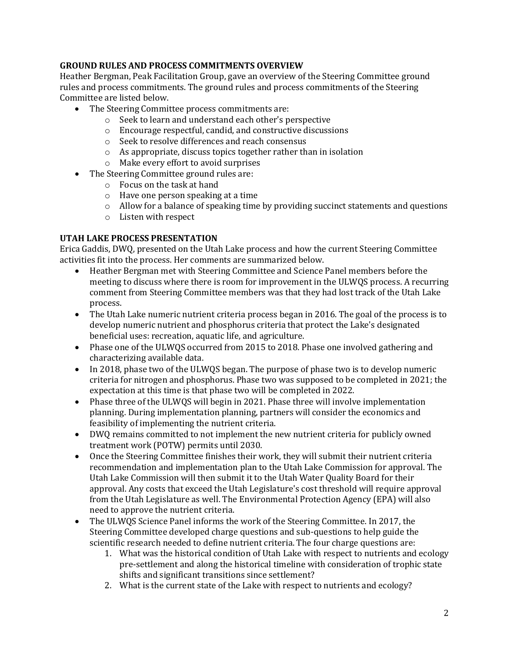# **GROUND RULES AND PROCESS COMMITMENTS OVERVIEW**

Heather Bergman, Peak Facilitation Group, gave an overview of the Steering Committee ground rules and process commitments. The ground rules and process commitments of the Steering Committee are listed below.

- The Steering Committee process commitments are:
	- o Seek to learn and understand each other's perspective
	- o Encourage respectful, candid, and constructive discussions
	- o Seek to resolve differences and reach consensus
	- o As appropriate, discuss topics together rather than in isolation
	- o Make every effort to avoid surprises
- The Steering Committee ground rules are:
	- o Focus on the task at hand
	- o Have one person speaking at a time
	- o Allow for a balance of speaking time by providing succinct statements and questions
	- o Listen with respect

#### **UTAH LAKE PROCESS PRESENTATION**

Erica Gaddis, DWQ, presented on the Utah Lake process and how the current Steering Committee activities fit into the process. Her comments are summarized below.

- Heather Bergman met with Steering Committee and Science Panel members before the meeting to discuss where there is room for improvement in the ULWQS process. A recurring comment from Steering Committee members was that they had lost track of the Utah Lake process.
- The Utah Lake numeric nutrient criteria process began in 2016. The goal of the process is to develop numeric nutrient and phosphorus criteria that protect the Lake's designated beneficial uses: recreation, aquatic life, and agriculture.
- Phase one of the ULWQS occurred from 2015 to 2018. Phase one involved gathering and characterizing available data.
- In 2018, phase two of the ULWOS began. The purpose of phase two is to develop numeric criteria for nitrogen and phosphorus. Phase two was supposed to be completed in 2021; the expectation at this time is that phase two will be completed in 2022.
- Phase three of the ULWQS will begin in 2021. Phase three will involve implementation planning. During implementation planning, partners will consider the economics and feasibility of implementing the nutrient criteria.
- DWQ remains committed to not implement the new nutrient criteria for publicly owned treatment work (POTW) permits until 2030.
- Once the Steering Committee finishes their work, they will submit their nutrient criteria recommendation and implementation plan to the Utah Lake Commission for approval. The Utah Lake Commission will then submit it to the Utah Water Quality Board for their approval. Any costs that exceed the Utah Legislature's cost threshold will require approval from the Utah Legislature as well. The Environmental Protection Agency (EPA) will also need to approve the nutrient criteria.
- The ULWQS Science Panel informs the work of the Steering Committee. In 2017, the Steering Committee developed charge questions and sub-questions to help guide the scientific research needed to define nutrient criteria. The four charge questions are:
	- 1. What was the historical condition of Utah Lake with respect to nutrients and ecology pre-settlement and along the historical timeline with consideration of trophic state shifts and significant transitions since settlement?
	- 2. What is the current state of the Lake with respect to nutrients and ecology?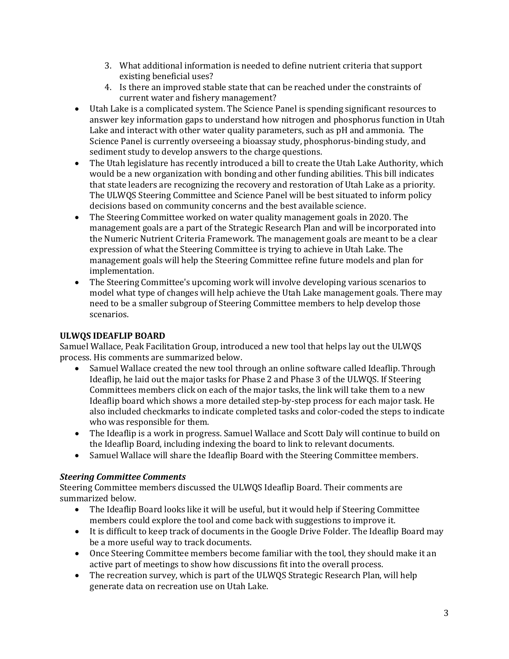- 3. What additional information is needed to define nutrient criteria that support existing beneficial uses?
- 4. Is there an improved stable state that can be reached under the constraints of current water and fishery management?
- Utah Lake is a complicated system. The Science Panel is spending significant resources to answer key information gaps to understand how nitrogen and phosphorus function in Utah Lake and interact with other water quality parameters, such as pH and ammonia. The Science Panel is currently overseeing a bioassay study, phosphorus-binding study, and sediment study to develop answers to the charge questions.
- The Utah legislature has recently introduced a bill to create the Utah Lake Authority, which would be a new organization with bonding and other funding abilities. This bill indicates that state leaders are recognizing the recovery and restoration of Utah Lake as a priority. The ULWQS Steering Committee and Science Panel will be best situated to inform policy decisions based on community concerns and the best available science.
- The Steering Committee worked on water quality management goals in 2020. The management goals are a part of the Strategic Research Plan and will be incorporated into the Numeric Nutrient Criteria Framework. The management goals are meant to be a clear expression of what the Steering Committee is trying to achieve in Utah Lake. The management goals will help the Steering Committee refine future models and plan for implementation.
- The Steering Committee's upcoming work will involve developing various scenarios to model what type of changes will help achieve the Utah Lake management goals. There may need to be a smaller subgroup of Steering Committee members to help develop those scenarios.

# **ULWQS IDEAFLIP BOARD**

Samuel Wallace, Peak Facilitation Group, introduced a new tool that helps lay out the ULWQS process. His comments are summarized below.

- Samuel Wallace created the new tool through an online software called Ideaflip. Through Ideaflip, he laid out the major tasks for Phase 2 and Phase 3 of the ULWQS. If Steering Committees members click on each of the major tasks, the link will take them to a new Ideaflip board which shows a more detailed step-by-step process for each major task. He also included checkmarks to indicate completed tasks and color-coded the steps to indicate who was responsible for them.
- The Ideaflip is a work in progress. Samuel Wallace and Scott Daly will continue to build on the Ideaflip Board, including indexing the board to link to relevant documents.
- Samuel Wallace will share the Ideaflip Board with the Steering Committee members.

## *Steering Committee Comments*

Steering Committee members discussed the ULWQS Ideaflip Board. Their comments are summarized below.

- The Ideaflip Board looks like it will be useful, but it would help if Steering Committee members could explore the tool and come back with suggestions to improve it.
- It is difficult to keep track of documents in the Google Drive Folder. The Ideaflip Board may be a more useful way to track documents.
- Once Steering Committee members become familiar with the tool, they should make it an active part of meetings to show how discussions fit into the overall process.
- The recreation survey, which is part of the ULWQS Strategic Research Plan, will help generate data on recreation use on Utah Lake.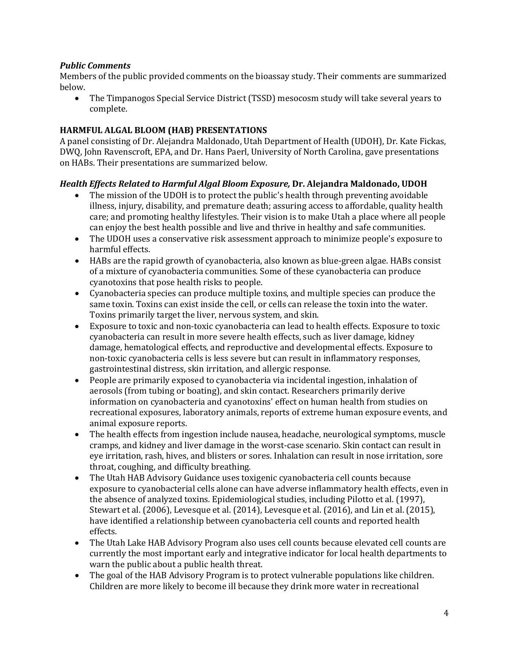# *Public Comments*

Members of the public provided comments on the bioassay study. Their comments are summarized below.

• The Timpanogos Special Service District (TSSD) mesocosm study will take several years to complete.

# **HARMFUL ALGAL BLOOM (HAB) PRESENTATIONS**

A panel consisting of Dr. Alejandra Maldonado, Utah Department of Health (UDOH), Dr. Kate Fickas, DWQ, John Ravenscroft, EPA, and Dr. Hans Paerl, University of North Carolina, gave presentations on HABs. Their presentations are summarized below.

## *Health Effects Related to Harmful Algal Bloom Exposure,* **Dr. Alejandra Maldonado, UDOH**

- The mission of the UDOH is to protect the public's health through preventing avoidable illness, injury, disability, and premature death; assuring access to affordable, quality health care; and promoting healthy lifestyles. Their vision is to make Utah a place where all people can enjoy the best health possible and live and thrive in healthy and safe communities.
- The UDOH uses a conservative risk assessment approach to minimize people's exposure to harmful effects.
- HABs are the rapid growth of cyanobacteria, also known as blue-green algae. HABs consist of a mixture of cyanobacteria communities. Some of these cyanobacteria can produce cyanotoxins that pose health risks to people.
- Cyanobacteria species can produce multiple toxins, and multiple species can produce the same toxin. Toxins can exist inside the cell, or cells can release the toxin into the water. Toxins primarily target the liver, nervous system, and skin.
- Exposure to toxic and non-toxic cyanobacteria can lead to health effects. Exposure to toxic cyanobacteria can result in more severe health effects, such as liver damage, kidney damage, hematological effects, and reproductive and developmental effects. Exposure to non-toxic cyanobacteria cells is less severe but can result in inflammatory responses, gastrointestinal distress, skin irritation, and allergic response.
- People are primarily exposed to cyanobacteria via incidental ingestion, inhalation of aerosols (from tubing or boating), and skin contact. Researchers primarily derive information on cyanobacteria and cyanotoxins' effect on human health from studies on recreational exposures, laboratory animals, reports of extreme human exposure events, and animal exposure reports.
- The health effects from ingestion include nausea, headache, neurological symptoms, muscle cramps, and kidney and liver damage in the worst-case scenario. Skin contact can result in eye irritation, rash, hives, and blisters or sores. Inhalation can result in nose irritation, sore throat, coughing, and difficulty breathing.
- The Utah HAB Advisory Guidance uses toxigenic cyanobacteria cell counts because exposure to cyanobacterial cells alone can have adverse inflammatory health effects, even in the absence of analyzed toxins. Epidemiological studies, including Pilotto et al. (1997), Stewart et al. (2006), Levesque et al. (2014), Levesque et al. (2016), and Lin et al. (2015), have identified a relationship between cyanobacteria cell counts and reported health effects.
- The Utah Lake HAB Advisory Program also uses cell counts because elevated cell counts are currently the most important early and integrative indicator for local health departments to warn the public about a public health threat.
- The goal of the HAB Advisory Program is to protect vulnerable populations like children. Children are more likely to become ill because they drink more water in recreational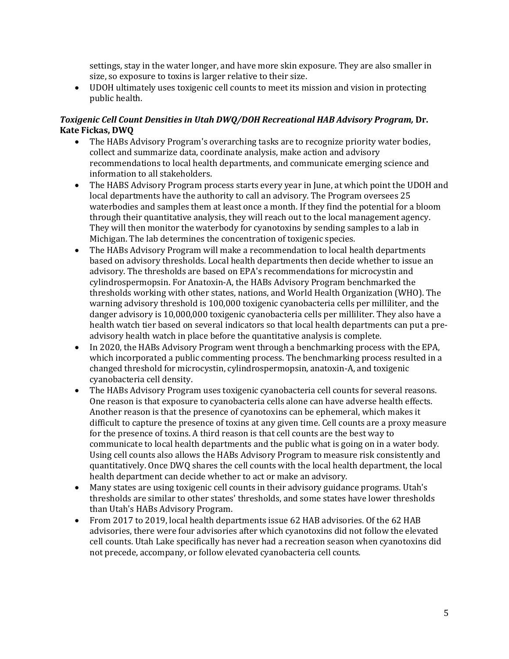settings, stay in the water longer, and have more skin exposure. They are also smaller in size, so exposure to toxins is larger relative to their size.

• UDOH ultimately uses toxigenic cell counts to meet its mission and vision in protecting public health.

# *Toxigenic Cell Count Densities in Utah DWQ/DOH Recreational HAB Advisory Program,* **Dr. Kate Fickas, DWQ**

- The HABs Advisory Program's overarching tasks are to recognize priority water bodies, collect and summarize data, coordinate analysis, make action and advisory recommendations to local health departments, and communicate emerging science and information to all stakeholders.
- The HABS Advisory Program process starts every year in June, at which point the UDOH and local departments have the authority to call an advisory. The Program oversees 25 waterbodies and samples them at least once a month. If they find the potential for a bloom through their quantitative analysis, they will reach out to the local management agency. They will then monitor the waterbody for cyanotoxins by sending samples to a lab in Michigan. The lab determines the concentration of toxigenic species.
- The HABs Advisory Program will make a recommendation to local health departments based on advisory thresholds. Local health departments then decide whether to issue an advisory. The thresholds are based on EPA's recommendations for microcystin and cylindrospermopsin. For Anatoxin-A, the HABs Advisory Program benchmarked the thresholds working with other states, nations, and World Health Organization (WHO). The warning advisory threshold is 100,000 toxigenic cyanobacteria cells per milliliter, and the danger advisory is 10,000,000 toxigenic cyanobacteria cells per milliliter. They also have a health watch tier based on several indicators so that local health departments can put a preadvisory health watch in place before the quantitative analysis is complete.
- In 2020, the HABs Advisory Program went through a benchmarking process with the EPA, which incorporated a public commenting process. The benchmarking process resulted in a changed threshold for microcystin, cylindrospermopsin, anatoxin-A, and toxigenic cyanobacteria cell density.
- The HABs Advisory Program uses toxigenic cyanobacteria cell counts for several reasons. One reason is that exposure to cyanobacteria cells alone can have adverse health effects. Another reason is that the presence of cyanotoxins can be ephemeral, which makes it difficult to capture the presence of toxins at any given time. Cell counts are a proxy measure for the presence of toxins. A third reason is that cell counts are the best way to communicate to local health departments and the public what is going on in a water body. Using cell counts also allows the HABs Advisory Program to measure risk consistently and quantitatively. Once DWQ shares the cell counts with the local health department, the local health department can decide whether to act or make an advisory.
- Many states are using toxigenic cell counts in their advisory guidance programs. Utah's thresholds are similar to other states' thresholds, and some states have lower thresholds than Utah's HABs Advisory Program.
- From 2017 to 2019, local health departments issue 62 HAB advisories. Of the 62 HAB advisories, there were four advisories after which cyanotoxins did not follow the elevated cell counts. Utah Lake specifically has never had a recreation season when cyanotoxins did not precede, accompany, or follow elevated cyanobacteria cell counts.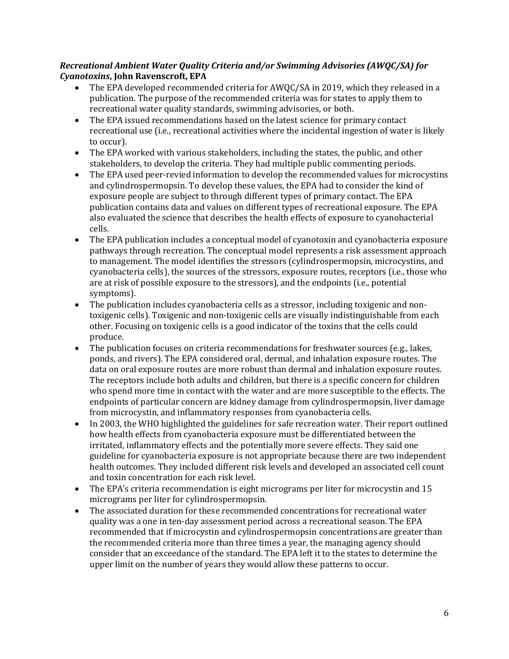# *Recreational Ambient Water Quality Criteria and/or Swimming Advisories (AWQC/SA) for Cyanotoxins***, John Ravenscroft, EPA**

- The EPA developed recommended criteria for AWQC/SA in 2019, which they released in a publication. The purpose of the recommended criteria was for states to apply them to recreational water quality standards, swimming advisories, or both.
- The EPA issued recommendations based on the latest science for primary contact recreational use (i.e., recreational activities where the incidental ingestion of water is likely to occur).
- The EPA worked with various stakeholders, including the states, the public, and other stakeholders, to develop the criteria. They had multiple public commenting periods.
- The EPA used peer-revied information to develop the recommended values for microcystins and cylindrospermopsin. To develop these values, the EPA had to consider the kind of exposure people are subject to through different types of primary contact. The EPA publication contains data and values on different types of recreational exposure. The EPA also evaluated the science that describes the health effects of exposure to cyanobacterial cells.
- The EPA publication includes a conceptual model of cyanotoxin and cyanobacteria exposure pathways through recreation. The conceptual model represents a risk assessment approach to management. The model identifies the stressors (cylindrospermopsin, microcystins, and cyanobacteria cells), the sources of the stressors, exposure routes, receptors (i.e., those who are at risk of possible exposure to the stressors), and the endpoints (i.e., potential symptoms).
- The publication includes cyanobacteria cells as a stressor, including toxigenic and nontoxigenic cells). Toxigenic and non-toxigenic cells are visually indistinguishable from each other. Focusing on toxigenic cells is a good indicator of the toxins that the cells could produce.
- The publication focuses on criteria recommendations for freshwater sources (e.g., lakes, ponds, and rivers). The EPA considered oral, dermal, and inhalation exposure routes. The data on oral exposure routes are more robust than dermal and inhalation exposure routes. The receptors include both adults and children, but there is a specific concern for children who spend more time in contact with the water and are more susceptible to the effects. The endpoints of particular concern are kidney damage from cylindrospermopsin, liver damage from microcystin, and inflammatory responses from cyanobacteria cells.
- In 2003, the WHO highlighted the guidelines for safe recreation water. Their report outlined how health effects from cyanobacteria exposure must be differentiated between the irritated, inflammatory effects and the potentially more severe effects. They said one guideline for cyanobacteria exposure is not appropriate because there are two independent health outcomes. They included different risk levels and developed an associated cell count and toxin concentration for each risk level.
- The EPA's criteria recommendation is eight micrograms per liter for microcystin and 15 micrograms per liter for cylindrospermopsin.
- The associated duration for these recommended concentrations for recreational water quality was a one in ten-day assessment period across a recreational season. The EPA recommended that if microcystin and cylindrospermopsin concentrations are greater than the recommended criteria more than three times a year, the managing agency should consider that an exceedance of the standard. The EPA left it to the states to determine the upper limit on the number of years they would allow these patterns to occur.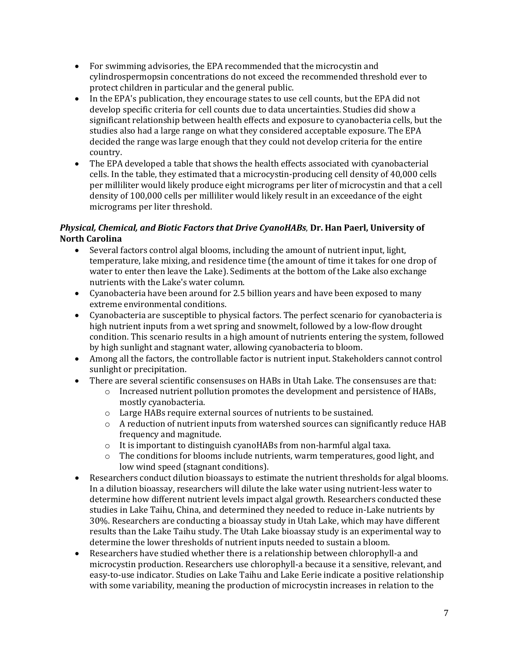- For swimming advisories, the EPA recommended that the microcystin and cylindrospermopsin concentrations do not exceed the recommended threshold ever to protect children in particular and the general public.
- In the EPA's publication, they encourage states to use cell counts, but the EPA did not develop specific criteria for cell counts due to data uncertainties. Studies did show a significant relationship between health effects and exposure to cyanobacteria cells, but the studies also had a large range on what they considered acceptable exposure. The EPA decided the range was large enough that they could not develop criteria for the entire country.
- The EPA developed a table that shows the health effects associated with cyanobacterial cells. In the table, they estimated that a microcystin-producing cell density of 40,000 cells per milliliter would likely produce eight micrograms per liter of microcystin and that a cell density of 100,000 cells per milliliter would likely result in an exceedance of the eight micrograms per liter threshold.

# *Physical, Chemical, and Biotic Factors that Drive CyanoHABs*, **Dr. Han Paerl, University of North Carolina**

- Several factors control algal blooms, including the amount of nutrient input, light, temperature, lake mixing, and residence time (the amount of time it takes for one drop of water to enter then leave the Lake). Sediments at the bottom of the Lake also exchange nutrients with the Lake's water column.
- Cyanobacteria have been around for 2.5 billion years and have been exposed to many extreme environmental conditions.
- Cyanobacteria are susceptible to physical factors. The perfect scenario for cyanobacteria is high nutrient inputs from a wet spring and snowmelt, followed by a low-flow drought condition. This scenario results in a high amount of nutrients entering the system, followed by high sunlight and stagnant water, allowing cyanobacteria to bloom.
- Among all the factors, the controllable factor is nutrient input. Stakeholders cannot control sunlight or precipitation.
- There are several scientific consensuses on HABs in Utah Lake. The consensuses are that:
	- $\circ$  Increased nutrient pollution promotes the development and persistence of HABs, mostly cyanobacteria.
	- o Large HABs require external sources of nutrients to be sustained.
	- $\circ$  A reduction of nutrient inputs from watershed sources can significantly reduce HAB frequency and magnitude.
	- o It is important to distinguish cyanoHABs from non-harmful algal taxa.
	- $\circ$  The conditions for blooms include nutrients, warm temperatures, good light, and low wind speed (stagnant conditions).
- Researchers conduct dilution bioassays to estimate the nutrient thresholds for algal blooms. In a dilution bioassay, researchers will dilute the lake water using nutrient-less water to determine how different nutrient levels impact algal growth. Researchers conducted these studies in Lake Taihu, China, and determined they needed to reduce in-Lake nutrients by 30%. Researchers are conducting a bioassay study in Utah Lake, which may have different results than the Lake Taihu study. The Utah Lake bioassay study is an experimental way to determine the lower thresholds of nutrient inputs needed to sustain a bloom.
- Researchers have studied whether there is a relationship between chlorophyll-a and microcystin production. Researchers use chlorophyll-a because it a sensitive, relevant, and easy-to-use indicator. Studies on Lake Taihu and Lake Eerie indicate a positive relationship with some variability, meaning the production of microcystin increases in relation to the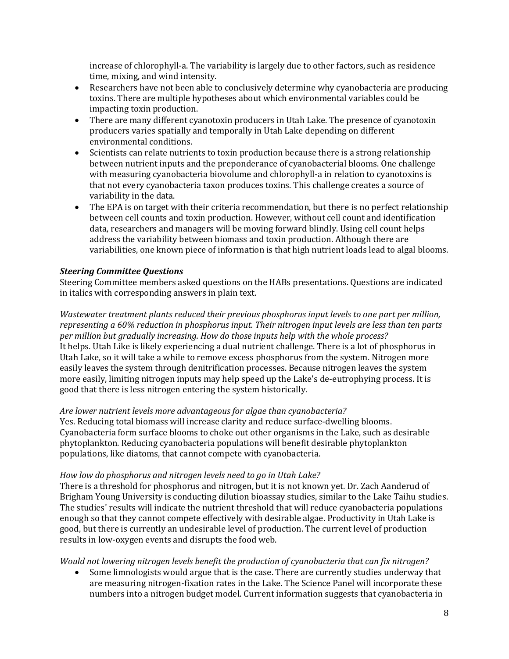increase of chlorophyll-a. The variability is largely due to other factors, such as residence time, mixing, and wind intensity.

- Researchers have not been able to conclusively determine why cyanobacteria are producing toxins. There are multiple hypotheses about which environmental variables could be impacting toxin production.
- There are many different cyanotoxin producers in Utah Lake. The presence of cyanotoxin producers varies spatially and temporally in Utah Lake depending on different environmental conditions.
- Scientists can relate nutrients to toxin production because there is a strong relationship between nutrient inputs and the preponderance of cyanobacterial blooms. One challenge with measuring cyanobacteria biovolume and chlorophyll-a in relation to cyanotoxins is that not every cyanobacteria taxon produces toxins. This challenge creates a source of variability in the data.
- The EPA is on target with their criteria recommendation, but there is no perfect relationship between cell counts and toxin production. However, without cell count and identification data, researchers and managers will be moving forward blindly. Using cell count helps address the variability between biomass and toxin production. Although there are variabilities, one known piece of information is that high nutrient loads lead to algal blooms.

## *Steering Committee Questions*

Steering Committee members asked questions on the HABs presentations. Questions are indicated in italics with corresponding answers in plain text.

*Wastewater treatment plants reduced their previous phosphorus input levels to one part per million, representing a 60% reduction in phosphorus input. Their nitrogen input levels are less than ten parts per million but gradually increasing. How do those inputs help with the whole process?* It helps. Utah Like is likely experiencing a dual nutrient challenge. There is a lot of phosphorus in Utah Lake, so it will take a while to remove excess phosphorus from the system. Nitrogen more easily leaves the system through denitrification processes. Because nitrogen leaves the system more easily, limiting nitrogen inputs may help speed up the Lake's de-eutrophying process. It is good that there is less nitrogen entering the system historically.

#### *Are lower nutrient levels more advantageous for algae than cyanobacteria?*

Yes. Reducing total biomass will increase clarity and reduce surface-dwelling blooms. Cyanobacteria form surface blooms to choke out other organisms in the Lake, such as desirable phytoplankton. Reducing cyanobacteria populations will benefit desirable phytoplankton populations, like diatoms, that cannot compete with cyanobacteria.

#### *How low do phosphorus and nitrogen levels need to go in Utah Lake?*

There is a threshold for phosphorus and nitrogen, but it is not known yet. Dr. Zach Aanderud of Brigham Young University is conducting dilution bioassay studies, similar to the Lake Taihu studies. The studies' results will indicate the nutrient threshold that will reduce cyanobacteria populations enough so that they cannot compete effectively with desirable algae. Productivity in Utah Lake is good, but there is currently an undesirable level of production. The current level of production results in low-oxygen events and disrupts the food web.

#### *Would not lowering nitrogen levels benefit the production of cyanobacteria that can fix nitrogen?*

• Some limnologists would argue that is the case. There are currently studies underway that are measuring nitrogen-fixation rates in the Lake. The Science Panel will incorporate these numbers into a nitrogen budget model. Current information suggests that cyanobacteria in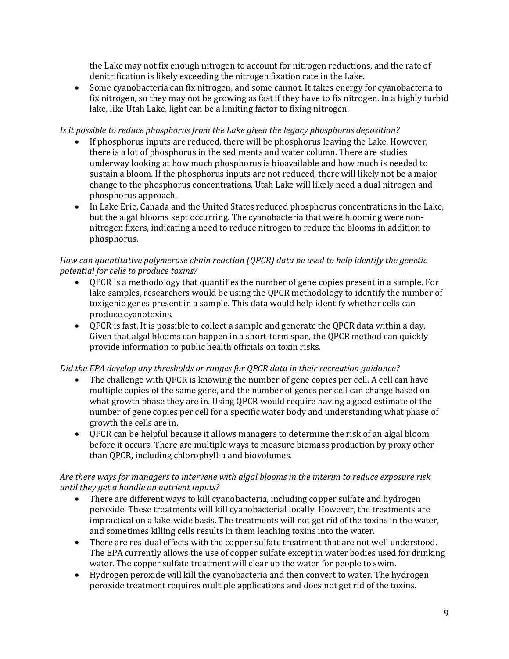the Lake may not fix enough nitrogen to account for nitrogen reductions, and the rate of denitrification is likely exceeding the nitrogen fixation rate in the Lake.

• Some cyanobacteria can fix nitrogen, and some cannot. It takes energy for cyanobacteria to fix nitrogen, so they may not be growing as fast if they have to fix nitrogen. In a highly turbid lake, like Utah Lake, light can be a limiting factor to fixing nitrogen.

#### *Is it possible to reduce phosphorus from the Lake given the legacy phosphorus deposition?*

- If phosphorus inputs are reduced, there will be phosphorus leaving the Lake. However, there is a lot of phosphorus in the sediments and water column. There are studies underway looking at how much phosphorus is bioavailable and how much is needed to sustain a bloom. If the phosphorus inputs are not reduced, there will likely not be a major change to the phosphorus concentrations. Utah Lake will likely need a dual nitrogen and phosphorus approach.
- In Lake Erie, Canada and the United States reduced phosphorus concentrations in the Lake, but the algal blooms kept occurring. The cyanobacteria that were blooming were nonnitrogen fixers, indicating a need to reduce nitrogen to reduce the blooms in addition to phosphorus.

#### *How can quantitative polymerase chain reaction (QPCR) data be used to help identify the genetic potential for cells to produce toxins?*

- QPCR is a methodology that quantifies the number of gene copies present in a sample. For lake samples, researchers would be using the QPCR methodology to identify the number of toxigenic genes present in a sample. This data would help identify whether cells can produce cyanotoxins.
- QPCR is fast. It is possible to collect a sample and generate the QPCR data within a day. Given that algal blooms can happen in a short-term span, the QPCR method can quickly provide information to public health officials on toxin risks.

## *Did the EPA develop any thresholds or ranges for QPCR data in their recreation guidance?*

- The challenge with OPCR is knowing the number of gene copies per cell. A cell can have multiple copies of the same gene, and the number of genes per cell can change based on what growth phase they are in. Using QPCR would require having a good estimate of the number of gene copies per cell for a specific water body and understanding what phase of growth the cells are in.
- QPCR can be helpful because it allows managers to determine the risk of an algal bloom before it occurs. There are multiple ways to measure biomass production by proxy other than QPCR, including chlorophyll-a and biovolumes.

## *Are there ways for managers to intervene with algal blooms in the interim to reduce exposure risk until they get a handle on nutrient inputs?*

- There are different ways to kill cyanobacteria, including copper sulfate and hydrogen peroxide. These treatments will kill cyanobacterial locally. However, the treatments are impractical on a lake-wide basis. The treatments will not get rid of the toxins in the water, and sometimes killing cells results in them leaching toxins into the water.
- There are residual effects with the copper sulfate treatment that are not well understood. The EPA currently allows the use of copper sulfate except in water bodies used for drinking water. The copper sulfate treatment will clear up the water for people to swim.
- Hydrogen peroxide will kill the cyanobacteria and then convert to water. The hydrogen peroxide treatment requires multiple applications and does not get rid of the toxins.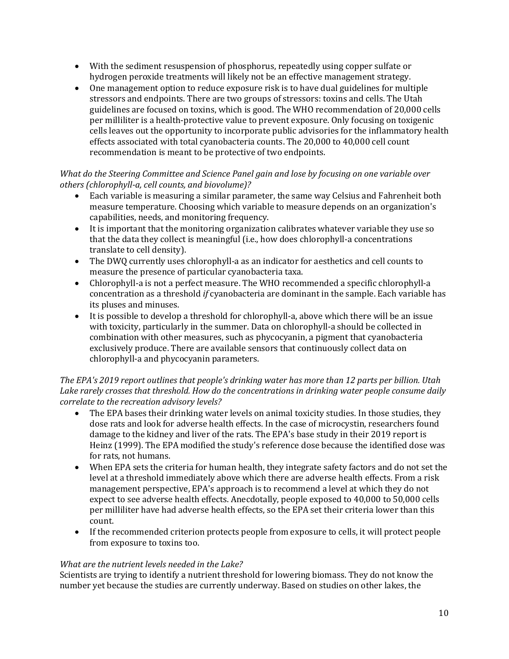- With the sediment resuspension of phosphorus, repeatedly using copper sulfate or hydrogen peroxide treatments will likely not be an effective management strategy.
- One management option to reduce exposure risk is to have dual guidelines for multiple stressors and endpoints. There are two groups of stressors: toxins and cells. The Utah guidelines are focused on toxins, which is good. The WHO recommendation of 20,000 cells per milliliter is a health-protective value to prevent exposure. Only focusing on toxigenic cells leaves out the opportunity to incorporate public advisories for the inflammatory health effects associated with total cyanobacteria counts. The 20,000 to 40,000 cell count recommendation is meant to be protective of two endpoints.

# *What do the Steering Committee and Science Panel gain and lose by focusing on one variable over others (chlorophyll-a, cell counts, and biovolume)?*

- Each variable is measuring a similar parameter, the same way Celsius and Fahrenheit both measure temperature. Choosing which variable to measure depends on an organization's capabilities, needs, and monitoring frequency.
- It is important that the monitoring organization calibrates whatever variable they use so that the data they collect is meaningful (i.e., how does chlorophyll-a concentrations translate to cell density).
- The DWQ currently uses chlorophyll-a as an indicator for aesthetics and cell counts to measure the presence of particular cyanobacteria taxa.
- Chlorophyll-a is not a perfect measure. The WHO recommended a specific chlorophyll-a concentration as a threshold *if* cyanobacteria are dominant in the sample. Each variable has its pluses and minuses.
- It is possible to develop a threshold for chlorophyll-a, above which there will be an issue with toxicity, particularly in the summer. Data on chlorophyll-a should be collected in combination with other measures, such as phycocyanin, a pigment that cyanobacteria exclusively produce. There are available sensors that continuously collect data on chlorophyll-a and phycocyanin parameters.

# *The EPA's 2019 report outlines that people's drinking water has more than 12 parts per billion. Utah Lake rarely crosses that threshold. How do the concentrations in drinking water people consume daily correlate to the recreation advisory levels?*

- The EPA bases their drinking water levels on animal toxicity studies. In those studies, they dose rats and look for adverse health effects. In the case of microcystin, researchers found damage to the kidney and liver of the rats. The EPA's base study in their 2019 report is Heinz (1999). The EPA modified the study's reference dose because the identified dose was for rats, not humans.
- When EPA sets the criteria for human health, they integrate safety factors and do not set the level at a threshold immediately above which there are adverse health effects. From a risk management perspective, EPA's approach is to recommend a level at which they do not expect to see adverse health effects. Anecdotally, people exposed to 40,000 to 50,000 cells per milliliter have had adverse health effects, so the EPA set their criteria lower than this count.
- If the recommended criterion protects people from exposure to cells, it will protect people from exposure to toxins too.

# *What are the nutrient levels needed in the Lake?*

Scientists are trying to identify a nutrient threshold for lowering biomass. They do not know the number yet because the studies are currently underway. Based on studies on other lakes, the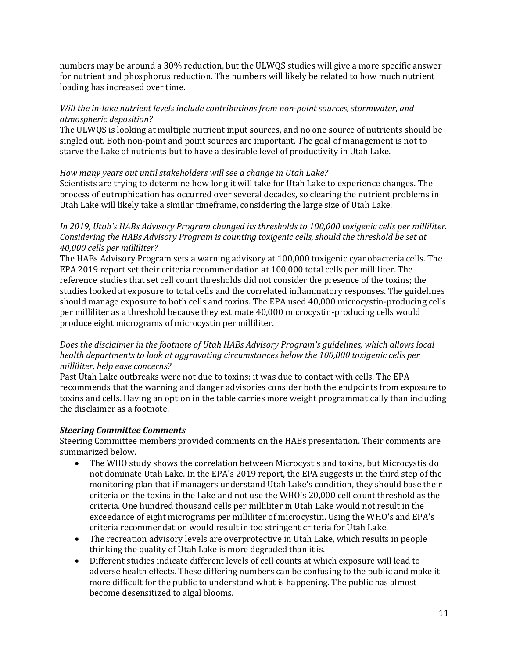numbers may be around a 30% reduction, but the ULWQS studies will give a more specific answer for nutrient and phosphorus reduction. The numbers will likely be related to how much nutrient loading has increased over time.

## *Will the in-lake nutrient levels include contributions from non-point sources, stormwater, and atmospheric deposition?*

The ULWQS is looking at multiple nutrient input sources, and no one source of nutrients should be singled out. Both non-point and point sources are important. The goal of management is not to starve the Lake of nutrients but to have a desirable level of productivity in Utah Lake.

## *How many years out until stakeholders will see a change in Utah Lake?*

Scientists are trying to determine how long it will take for Utah Lake to experience changes. The process of eutrophication has occurred over several decades, so clearing the nutrient problems in Utah Lake will likely take a similar timeframe, considering the large size of Utah Lake.

#### *In 2019, Utah's HABs Advisory Program changed its thresholds to 100,000 toxigenic cells per milliliter. Considering the HABs Advisory Program is counting toxigenic cells, should the threshold be set at 40,000 cells per milliliter?*

The HABs Advisory Program sets a warning advisory at 100,000 toxigenic cyanobacteria cells. The EPA 2019 report set their criteria recommendation at 100,000 total cells per milliliter. The reference studies that set cell count thresholds did not consider the presence of the toxins; the studies looked at exposure to total cells and the correlated inflammatory responses. The guidelines should manage exposure to both cells and toxins. The EPA used 40,000 microcystin-producing cells per milliliter as a threshold because they estimate 40,000 microcystin-producing cells would produce eight micrograms of microcystin per milliliter.

## *Does the disclaimer in the footnote of Utah HABs Advisory Program's guidelines, which allows local health departments to look at aggravating circumstances below the 100,000 toxigenic cells per milliliter, help ease concerns?*

Past Utah Lake outbreaks were not due to toxins; it was due to contact with cells. The EPA recommends that the warning and danger advisories consider both the endpoints from exposure to toxins and cells. Having an option in the table carries more weight programmatically than including the disclaimer as a footnote.

## *Steering Committee Comments*

Steering Committee members provided comments on the HABs presentation. Their comments are summarized below.

- The WHO study shows the correlation between Microcystis and toxins, but Microcystis do not dominate Utah Lake. In the EPA's 2019 report, the EPA suggests in the third step of the monitoring plan that if managers understand Utah Lake's condition, they should base their criteria on the toxins in the Lake and not use the WHO's 20,000 cell count threshold as the criteria. One hundred thousand cells per milliliter in Utah Lake would not result in the exceedance of eight micrograms per milliliter of microcystin. Using the WHO's and EPA's criteria recommendation would result in too stringent criteria for Utah Lake.
- The recreation advisory levels are overprotective in Utah Lake, which results in people thinking the quality of Utah Lake is more degraded than it is.
- Different studies indicate different levels of cell counts at which exposure will lead to adverse health effects. These differing numbers can be confusing to the public and make it more difficult for the public to understand what is happening. The public has almost become desensitized to algal blooms.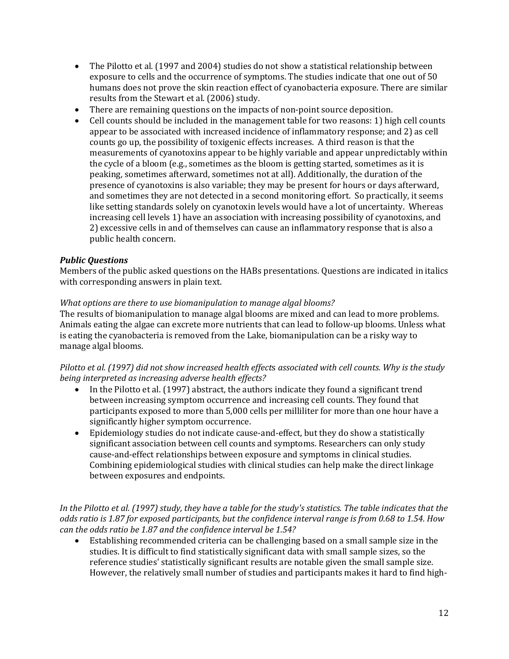- The Pilotto et al. (1997 and 2004) studies do not show a statistical relationship between exposure to cells and the occurrence of symptoms. The studies indicate that one out of 50 humans does not prove the skin reaction effect of cyanobacteria exposure. There are similar results from the Stewart et al. (2006) study.
- There are remaining questions on the impacts of non-point source deposition.
- Cell counts should be included in the management table for two reasons: 1) high cell counts appear to be associated with increased incidence of inflammatory response; and 2) as cell counts go up, the possibility of toxigenic effects increases. A third reason is that the measurements of cyanotoxins appear to be highly variable and appear unpredictably within the cycle of a bloom (e.g., sometimes as the bloom is getting started, sometimes as it is peaking, sometimes afterward, sometimes not at all). Additionally, the duration of the presence of cyanotoxins is also variable; they may be present for hours or days afterward, and sometimes they are not detected in a second monitoring effort. So practically, it seems like setting standards solely on cyanotoxin levels would have a lot of uncertainty. Whereas increasing cell levels 1) have an association with increasing possibility of cyanotoxins, and 2) excessive cells in and of themselves can cause an inflammatory response that is also a public health concern.

## *Public Questions*

Members of the public asked questions on the HABs presentations. Questions are indicated in italics with corresponding answers in plain text.

#### *What options are there to use biomanipulation to manage algal blooms?*

The results of biomanipulation to manage algal blooms are mixed and can lead to more problems. Animals eating the algae can excrete more nutrients that can lead to follow-up blooms. Unless what is eating the cyanobacteria is removed from the Lake, biomanipulation can be a risky way to manage algal blooms.

#### *Pilotto et al. (1997) did not show increased health effect*s *associated with cell counts. Why is the study being interpreted as increasing adverse health effects?*

- In the Pilotto et al. (1997) abstract, the authors indicate they found a significant trend between increasing symptom occurrence and increasing cell counts. They found that participants exposed to more than 5,000 cells per milliliter for more than one hour have a significantly higher symptom occurrence.
- Epidemiology studies do not indicate cause-and-effect, but they do show a statistically significant association between cell counts and symptoms. Researchers can only study cause-and-effect relationships between exposure and symptoms in clinical studies. Combining epidemiological studies with clinical studies can help make the direct linkage between exposures and endpoints.

*In the Pilotto et al. (1997) study, they have a table for the study's statistics. The table indicates that the odds ratio is 1.87 for exposed participants, but the confidence interval range is from 0.68 to 1.54. How can the odds ratio be 1.87 and the confidence interval be 1.54?*

• Establishing recommended criteria can be challenging based on a small sample size in the studies. It is difficult to find statistically significant data with small sample sizes, so the reference studies' statistically significant results are notable given the small sample size. However, the relatively small number of studies and participants makes it hard to find high-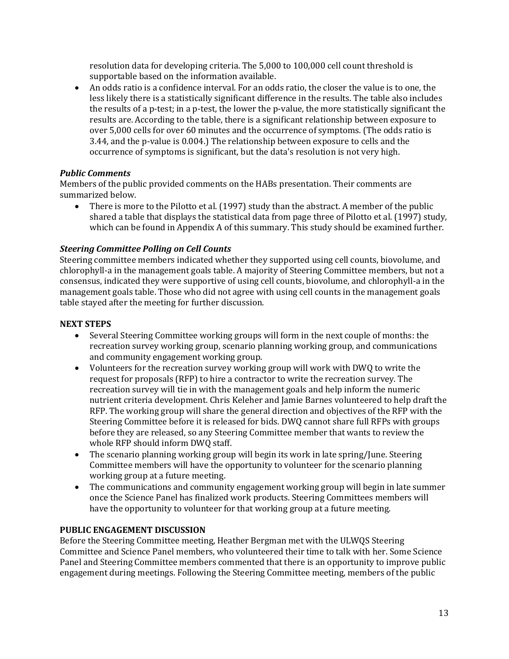resolution data for developing criteria. The 5,000 to 100,000 cell count threshold is supportable based on the information available.

• An odds ratio is a confidence interval. For an odds ratio, the closer the value is to one, the less likely there is a statistically significant difference in the results. The table also includes the results of a p-test; in a p-test, the lower the p-value, the more statistically significant the results are. According to the table, there is a significant relationship between exposure to over 5,000 cells for over 60 minutes and the occurrence of symptoms. (The odds ratio is 3.44, and the p-value is 0.004.) The relationship between exposure to cells and the occurrence of symptoms is significant, but the data's resolution is not very high.

# *Public Comments*

Members of the public provided comments on the HABs presentation. Their comments are summarized below.

• There is more to the Pilotto et al. (1997) study than the abstract. A member of the public shared a table that displays the statistical data from page three of Pilotto et al. (1997) study, which can be found in Appendix A of this summary. This study should be examined further.

# *Steering Committee Polling on Cell Counts*

Steering committee members indicated whether they supported using cell counts, biovolume, and chlorophyll-a in the management goals table. A majority of Steering Committee members, but not a consensus, indicated they were supportive of using cell counts, biovolume, and chlorophyll-a in the management goals table. Those who did not agree with using cell counts in the management goals table stayed after the meeting for further discussion.

## **NEXT STEPS**

- Several Steering Committee working groups will form in the next couple of months: the recreation survey working group, scenario planning working group, and communications and community engagement working group.
- Volunteers for the recreation survey working group will work with DWQ to write the request for proposals (RFP) to hire a contractor to write the recreation survey. The recreation survey will tie in with the management goals and help inform the numeric nutrient criteria development. Chris Keleher and Jamie Barnes volunteered to help draft the RFP. The working group will share the general direction and objectives of the RFP with the Steering Committee before it is released for bids. DWQ cannot share full RFPs with groups before they are released, so any Steering Committee member that wants to review the whole RFP should inform DWQ staff.
- The scenario planning working group will begin its work in late spring/June. Steering Committee members will have the opportunity to volunteer for the scenario planning working group at a future meeting.
- The communications and community engagement working group will begin in late summer once the Science Panel has finalized work products. Steering Committees members will have the opportunity to volunteer for that working group at a future meeting.

## **PUBLIC ENGAGEMENT DISCUSSION**

Before the Steering Committee meeting, Heather Bergman met with the ULWQS Steering Committee and Science Panel members, who volunteered their time to talk with her. Some Science Panel and Steering Committee members commented that there is an opportunity to improve public engagement during meetings. Following the Steering Committee meeting, members of the public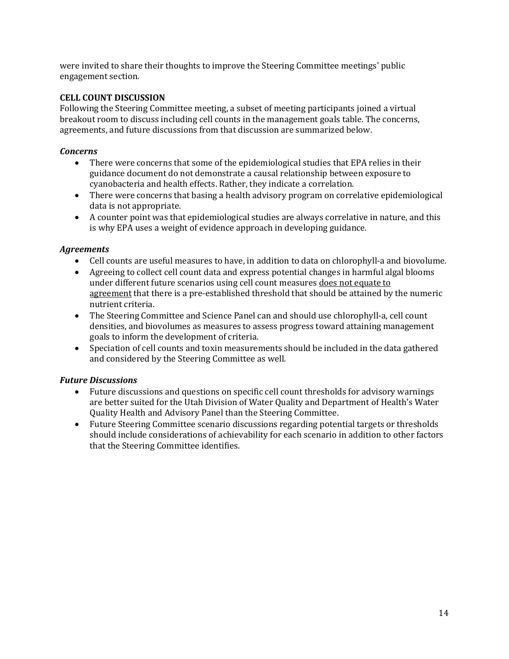were invited to share their thoughts to improve the Steering Committee meetings' public engagement section.

## **CELL COUNT DISCUSSION**

Following the Steering Committee meeting, a subset of meeting participants joined a virtual breakout room to discuss including cell counts in the management goals table. The concerns, agreements, and future discussions from that discussion are summarized below.

#### *Concerns*

- There were concerns that some of the epidemiological studies that EPA relies in their guidance document do not demonstrate a causal relationship between exposure to cyanobacteria and health effects. Rather, they indicate a correlation.
- There were concerns that basing a health advisory program on correlative epidemiological data is not appropriate.
- A counter point was that epidemiological studies are always correlative in nature, and this is why EPA uses a weight of evidence approach in developing guidance.

#### *Agreements*

- Cell counts are useful measures to have, in addition to data on chlorophyll-a and biovolume.
- Agreeing to collect cell count data and express potential changes in harmful algal blooms under different future scenarios using cell count measures does not equate to agreement that there is a pre-established threshold that should be attained by the numeric nutrient criteria.
- The Steering Committee and Science Panel can and should use chlorophyll-a, cell count densities, and biovolumes as measures to assess progress toward attaining management goals to inform the development of criteria.
- Speciation of cell counts and toxin measurements should be included in the data gathered and considered by the Steering Committee as well.

## *Future Discussions*

- Future discussions and questions on specific cell count thresholds for advisory warnings are better suited for the Utah Division of Water Quality and Department of Health's Water Quality Health and Advisory Panel than the Steering Committee.
- Future Steering Committee scenario discussions regarding potential targets or thresholds should include considerations of achievability for each scenario in addition to other factors that the Steering Committee identifies.